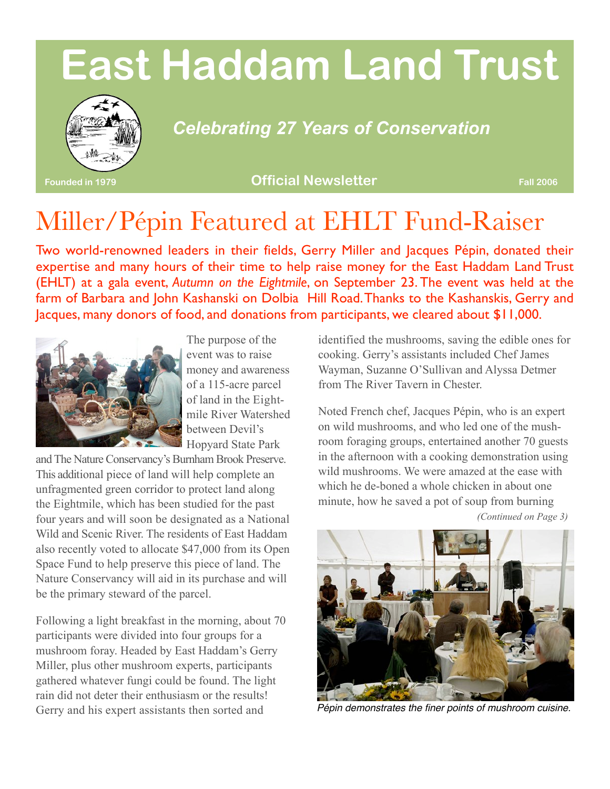# **East Haddam Land Trust**



### *Celebrating 27 Years of Conservation*

**Founded in 1979 Official Newsletter Fall 2006**

## Miller/Pépin Featured at EHLT Fund-Raiser

Two world-renowned leaders in their fields, Gerry Miller and Jacques Pépin, donated their expertise and many hours of their time to help raise money for the East Haddam Land Trust (EHLT) at a gala event, *Autumn on the Eightmile*, on September 23. The event was held at the farm of Barbara and John Kashanski on Dolbia Hill Road.Thanks to the Kashanskis, Gerry and Jacques, many donors of food, and donations from participants, we cleared about \$11,000.



The purpose of the event was to raise money and awareness of a 115-acre parcel of land in the Eightmile River Watershed between Devil's Hopyard State Park

andThe Nature Conservancy's Burnham Brook Preserve. This additional piece of land will help complete an unfragmented green corridor to protect land along the Eightmile, which has been studied for the past four years and will soon be designated as a National Wild and Scenic River. The residents of East Haddam also recently voted to allocate \$47,000 from its Open Space Fund to help preserve this piece of land. The Nature Conservancy will aid in its purchase and will be the primary steward of the parcel.

Following a light breakfast in the morning, about 70 participants were divided into four groups for a mushroom foray. Headed by East Haddam's Gerry Miller, plus other mushroom experts, participants gathered whatever fungi could be found. The light rain did not deter their enthusiasm or the results! Gerry and his expert assistants then sorted and

identified the mushrooms, saving the edible ones for cooking. Gerry's assistants included Chef James Wayman, Suzanne O'Sullivan and Alyssa Detmer from The River Tavern in Chester.

Noted French chef, Jacques Pépin, who is an expert on wild mushrooms, and who led one of the mushroom foraging groups, entertained another 70 guests in the afternoon with a cooking demonstration using wild mushrooms. We were amazed at the ease with which he de-boned a whole chicken in about one minute, how he saved a pot of soup from burning *(Continued on Page 3)*



*Pépin demonstrates the finer points of mushroom cuisine.*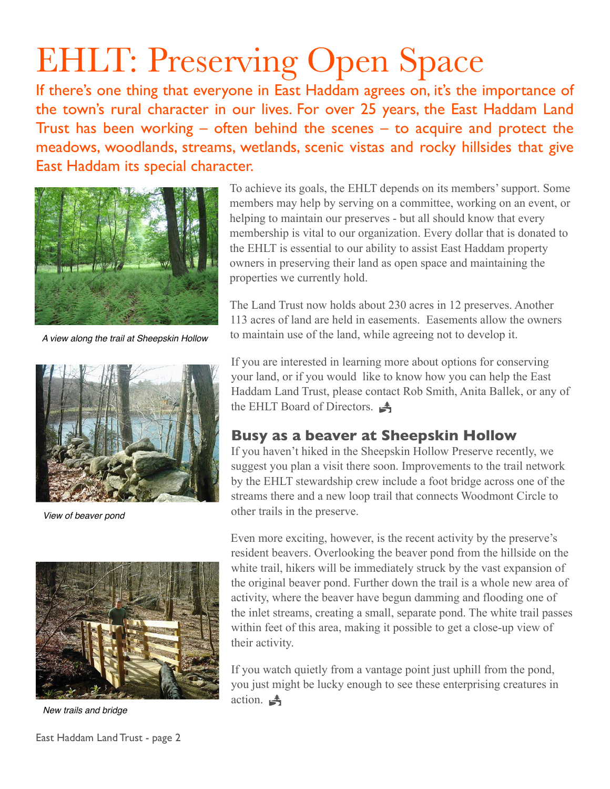# EHLT: Preserving Open Space

If there's one thing that everyone in East Haddam agrees on, it's the importance of the town's rural character in our lives. For over 25 years, the East Haddam Land Trust has been working – often behind the scenes – to acquire and protect the meadows, woodlands, streams, wetlands, scenic vistas and rocky hillsides that give East Haddam its special character.



*A view along the trail at Sheepskin Hollow*



*View of beaver pond* 



*New trails and bridge* 

East Haddam Land Trust - page 2

To achieve its goals, the EHLT depends on its members' support. Some members may help by serving on a committee, working on an event, or helping to maintain our preserves - but all should know that every membership is vital to our organization. Every dollar that is donated to the EHLT is essential to our ability to assist East Haddam property owners in preserving their land as open space and maintaining the properties we currently hold.

The Land Trust now holds about 230 acres in 12 preserves. Another 113 acres of land are held in easements. Easements allow the owners to maintain use of the land, while agreeing not to develop it.

If you are interested in learning more about options for conserving your land, or if you would like to know how you can help the East Haddam Land Trust, please contact Rob Smith, Anita Ballek, or any of the EHLT Board of Directors.

#### **Busy as a beaver at Sheepskin Hollow**

If you haven't hiked in the Sheepskin Hollow Preserve recently, we suggest you plan a visit there soon. Improvements to the trail network by the EHLT stewardship crew include a foot bridge across one of the streams there and a new loop trail that connects Woodmont Circle to other trails in the preserve.

Even more exciting, however, is the recent activity by the preserve's resident beavers. Overlooking the beaver pond from the hillside on the white trail, hikers will be immediately struck by the vast expansion of the original beaver pond. Further down the trail is a whole new area of activity, where the beaver have begun damming and flooding one of the inlet streams, creating a small, separate pond. The white trail passes within feet of this area, making it possible to get a close-up view of their activity.

If you watch quietly from a vantage point just uphill from the pond, you just might be lucky enough to see these enterprising creatures in action.  $\triangleq$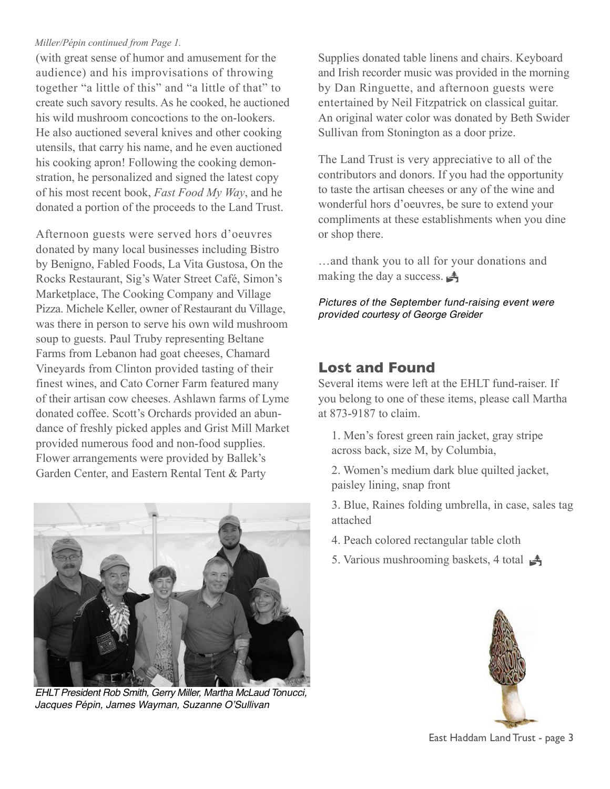#### *Miller/Pépin continued from Page 1.*

(with great sense of humor and amusement for the audience) and his improvisations of throwing together "a little of this" and "a little of that" to create such savory results. As he cooked, he auctioned his wild mushroom concoctions to the on-lookers. He also auctioned several knives and other cooking utensils, that carry his name, and he even auctioned his cooking apron! Following the cooking demonstration, he personalized and signed the latest copy of his most recent book, *Fast Food My Way*, and he donated a portion of the proceeds to the Land Trust.

Afternoon guests were served hors d'oeuvres donated by many local businesses including Bistro by Benigno, Fabled Foods, La Vita Gustosa, On the Rocks Restaurant, Sig's Water Street Café, Simon's Marketplace, The Cooking Company and Village Pizza. Michele Keller, owner of Restaurant du Village, was there in person to serve his own wild mushroom soup to guests. Paul Truby representing Beltane Farms from Lebanon had goat cheeses, Chamard Vineyards from Clinton provided tasting of their finest wines, and Cato Corner Farm featured many of their artisan cow cheeses. Ashlawn farms of Lyme donated coffee. Scott's Orchards provided an abundance of freshly picked apples and Grist Mill Market provided numerous food and non-food supplies. Flower arrangements were provided by Ballek's Garden Center, and Eastern Rental Tent & Party



*EHLT President Rob Smith, Gerry Miller, Martha McLaud Tonucci, Jacques Pépin, James Wayman, Suzanne O*'*Sullivan*

Supplies donated table linens and chairs. Keyboard and Irish recorder music was provided in the morning by Dan Ringuette, and afternoon guests were entertained by Neil Fitzpatrick on classical guitar. An original water color was donated by Beth Swider Sullivan from Stonington as a door prize.

The Land Trust is very appreciative to all of the contributors and donors. If you had the opportunity to taste the artisan cheeses or any of the wine and wonderful hors d'oeuvres, be sure to extend your compliments at these establishments when you dine or shop there.

…and thank you to all for your donations and making the day a success.  $\blacktriangleleft$ 

*Pictures of the September fund-raising event were provided courtesy of George Greider*

#### **Lost and Found**

Several items were left at the EHLT fund-raiser. If you belong to one of these items, please call Martha at 873-9187 to claim.

1. Men's forest green rain jacket, gray stripe across back, size M, by Columbia,

2. Women's medium dark blue quilted jacket, paisley lining, snap front

3. Blue, Raines folding umbrella, in case, sales tag attached

- 4. Peach colored rectangular table cloth
- 5. Various mushrooming baskets, 4 total  $\frac{1}{\sqrt{2}}$



East Haddam Land Trust - page 3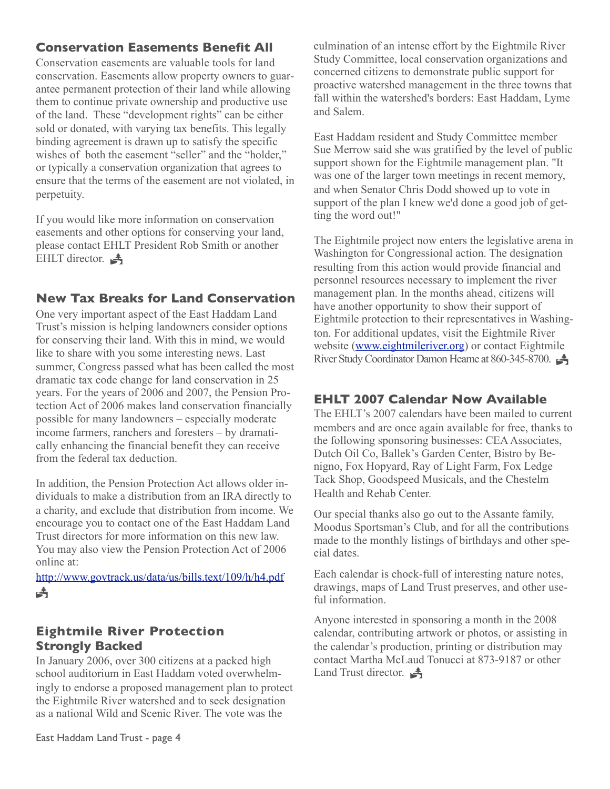#### **Conservation Easements Benefit All**

Conservation easements are valuable tools for land conservation. Easements allow property owners to guarantee permanent protection of their land while allowing them to continue private ownership and productive use of the land. These "development rights" can be either sold or donated, with varying tax benefits. This legally binding agreement is drawn up to satisfy the specific wishes of both the easement "seller" and the "holder," or typically a conservation organization that agrees to ensure that the terms of the easement are not violated, in perpetuity.

If you would like more information on conservation easements and other options for conserving your land, please contact EHLT President Rob Smith or another EHLT director.  $\triangleq$ 

#### **New Tax Breaks for Land Conservation**

One very important aspect of the East Haddam Land Trust's mission is helping landowners consider options for conserving their land. With this in mind, we would like to share with you some interesting news. Last summer, Congress passed what has been called the most dramatic tax code change for land conservation in 25 years. For the years of 2006 and 2007, the Pension Protection Act of 2006 makes land conservation financially possible for many landowners – especially moderate income farmers, ranchers and foresters – by dramatically enhancing the financial benefit they can receive from the federal tax deduction.

In addition, the Pension Protection Act allows older individuals to make a distribution from an IRA directly to a charity, and exclude that distribution from income. We encourage you to contact one of the East Haddam Land Trust directors for more information on this new law. You may also view the Pension Protection Act of 2006 online at:

<http://www.govtrack.us/data/us/bills.text/109/h/h4.pdf>  $\triangleq$ 

#### **Eightmile River Protection Strongly Backed**

In January 2006, over 300 citizens at a packed high school auditorium in East Haddam voted overwhelmingly to endorse a proposed management plan to protect the Eightmile River watershed and to seek designation as a national Wild and Scenic River. The vote was the

culmination of an intense effort by the Eightmile River Study Committee, local conservation organizations and concerned citizens to demonstrate public support for proactive watershed management in the three towns that fall within the watershed's borders: East Haddam, Lyme and Salem.

East Haddam resident and Study Committee member Sue Merrow said she was gratified by the level of public support shown for the Eightmile management plan. "It was one of the larger town meetings in recent memory, and when Senator Chris Dodd showed up to vote in support of the plan I knew we'd done a good job of getting the word out!"

The Eightmile project now enters the legislative arena in Washington for Congressional action. The designation resulting from this action would provide financial and personnel resources necessary to implement the river management plan. In the months ahead, citizens will have another opportunity to show their support of Eightmile protection to their representatives in Washington. For additional updates, visit the Eightmile River website ([www.eightmileriver.org](http://www.eightmileriver.org)) or contact Eightmile River Study Coordinator Damon Hearne at 860-345-8700.

#### **EHLT 2007 Calendar Now Available**

The EHLT's 2007 calendars have been mailed to current members and are once again available for free, thanks to the following sponsoring businesses: CEAAssociates, Dutch Oil Co, Ballek's Garden Center, Bistro by Benigno, Fox Hopyard, Ray of Light Farm, Fox Ledge Tack Shop, Goodspeed Musicals, and the Chestelm Health and Rehab Center.

Our special thanks also go out to the Assante family, Moodus Sportsman's Club, and for all the contributions made to the monthly listings of birthdays and other special dates.

Each calendar is chock-full of interesting nature notes, drawings, maps of Land Trust preserves, and other useful information.

Anyone interested in sponsoring a month in the 2008 calendar, contributing artwork or photos, or assisting in the calendar's production, printing or distribution may contact Martha McLaud Tonucci at 873-9187 or other Land Trust director.  $\triangle$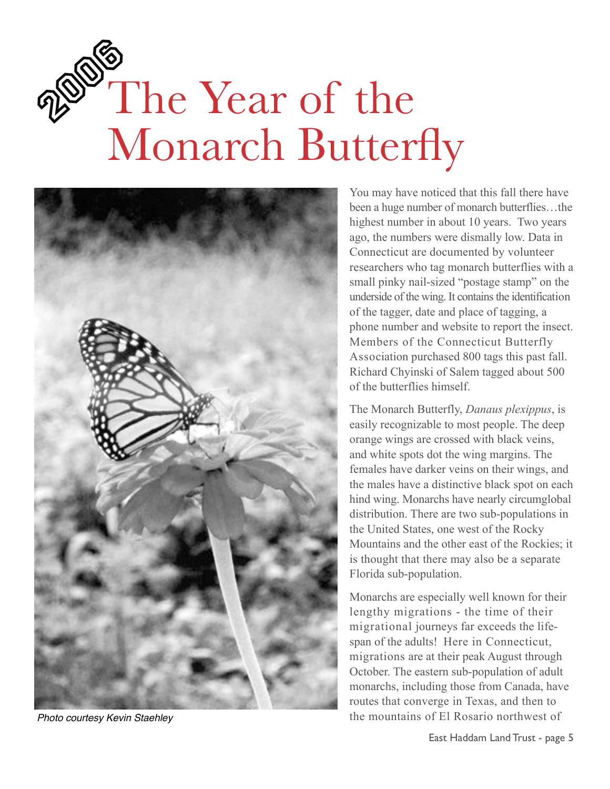# PSO The Year of the Monarch Butterfly



*Photo courtesy Kevin Staehley*

You may have noticed that this fall there have been a huge number of monarch butterflies…the highest number in about 10 years. Two years ago, the numbers were dismally low. Data in Connecticut are documented by volunteer researchers who tag monarch butterflies with a small pinky nail-sized "postage stamp" on the underside of the wing. It contains the identification of the tagger, date and place of tagging, a phone number and website to report the insect. Members of the Connecticut Butterfly Association purchased 800 tags this past fall. Richard Chyinski of Salem tagged about 500 of the butterflies himself.

The Monarch Butterfly, *Danaus plexippus*, is easily recognizable to most people. The deep orange wings are crossed with black veins, and white spots dot the wing margins. The females have darker veins on their wings, and the males have a distinctive black spot on each hind wing. Monarchs have nearly circumglobal distribution. There are two sub-populations in the United States, one west of the Rocky Mountains and the other east of the Rockies; it is thought that there may also be a separate Florida sub-population.

Monarchs are especially well known for their lengthy migrations - the time of their migrational journeys far exceeds the lifespan of the adults! Here in Connecticut, migrations are at their peak August through October. The eastern sub-population of adult monarchs, including those from Canada, have routes that converge in Texas, and then to the mountains of El Rosario northwest of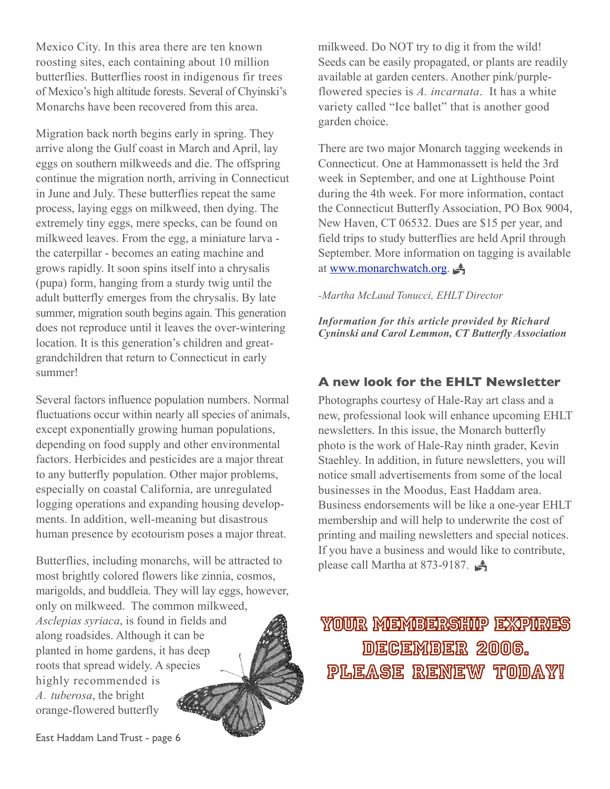Mexico City. In this area there are ten known roosting sites, each containing about 10 million butterflies. Butterflies roost in indigenous fir trees of Mexico's high altitude forests. Several of Chyinski's Monarchs have been recovered from this area.

Migration back north begins early in spring. They arrive along the Gulf coast in March and April, lay eggs on southern milkweeds and die. The offspring continue the migration north, arriving in Connecticut in June and July. These butterflies repeat the same process, laying eggs on milkweed, then dying. The extremely tiny eggs, mere specks, can be found on milkweed leaves. From the egg, a miniature larva the caterpillar - becomes an eating machine and grows rapidly. It soon spins itself into a chrysalis (pupa) form, hanging from a sturdy twig until the adult butterfly emerges from the chrysalis. By late summer, migration south begins again. This generation does not reproduce until it leaves the over-wintering location. It is this generation's children and greatgrandchildren that return to Connecticut in early summer!

Several factors influence population numbers. Normal fluctuations occur within nearly all species of animals, except exponentially growing human populations, depending on food supply and other environmental factors. Herbicides and pesticides are a major threat to any butterfly population. Other major problems, especially on coastal California, are unregulated logging operations and expanding housing developments. In addition, well-meaning but disastrous human presence by ecotourism poses a major threat.

Butterflies, including monarchs, will be attracted to most brightly colored flowers like zinnia, cosmos, marigolds, and buddleia. They will lay eggs, however, only on milkweed. The common milkweed, *Asclepias syriaca*, is found in fields and along roadsides. Although it can be planted in home gardens, it has deep roots that spread widely. A species highly recommended is *A. tuberosa*, the bright orange-flowered butterfly

East Haddam Land Trust - page 6

milkweed. Do NOT try to dig it from the wild! Seeds can be easily propagated, or plants are readily available at garden centers. Another pink/purpleflowered species is *A. incarnata*. It has a white variety called "Ice ballet" that is another good garden choice.

There are two major Monarch tagging weekends in Connecticut. One at Hammonassett is held the 3rd week in September, and one at Lighthouse Point during the 4th week. For more information, contact the Connecticut Butterfly Association, PO Box 9004, New Haven, CT 06532. Dues are \$15 per year, and field trips to study butterflies are held April through September. More information on tagging is available at [www.monarchwatch.org.](http://www.monarchwatch.org)

#### *-Martha McLaud Tonucci, EHLT Director*

*Information for this article provided by Richard Cyninski and Carol Lemmon, CT Butterfly Association*

#### **A new look for the EHLT Newsletter**

Photographs courtesy of Hale-Ray art class and a new, professional look will enhance upcoming EHLT newsletters. In this issue, the Monarch butterfly photo is the work of Hale-Ray ninth grader, Kevin Staehley. In addition, in future newsletters, you will notice small advertisements from some of the local businesses in the Moodus, East Haddam area. Business endorsements will be like a one-year EHLT membership and will help to underwrite the cost of printing and mailing newsletters and special notices. If you have a business and would like to contribute, please call Martha at 873-9187. !

Your Membership expires DECEMBER 2006. Please Renew today!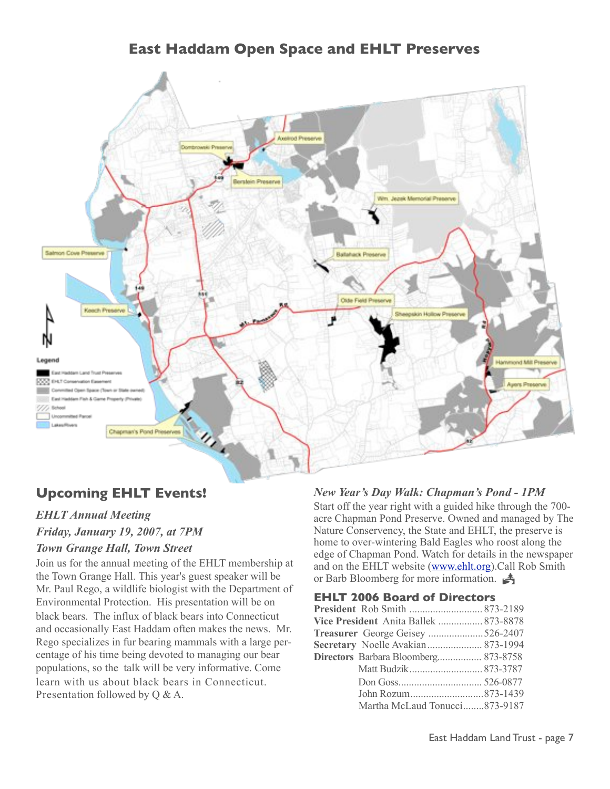**East Haddam Open Space and EHLT Preserves**



#### **Upcoming EHLT Events!**

#### *EHLT Annual Meeting*

*Friday, January 19, 2007, at 7PM*

#### *Town Grange Hall, Town Street*

Join us for the annual meeting of the EHLT membership at the Town Grange Hall. This year's guest speaker will be Mr. Paul Rego, a wildlife biologist with the Department of Environmental Protection. His presentation will be on black bears. The influx of black bears into Connecticut and occasionally East Haddam often makes the news. Mr. Rego specializes in fur bearing mammals with a large percentage of his time being devoted to managing our bear populations, so the talk will be very informative. Come learn with us about black bears in Connecticut. Presentation followed by Q & A.

#### *New Year's Day Walk: Chapman's Pond - 1PM*

Start off the year right with a guided hike through the 700 acre Chapman Pond Preserve. Owned and managed by The Nature Conservency, the State and EHLT, the preserve is home to over-wintering Bald Eagles who roost along the edge of Chapman Pond. Watch for details in the newspaper and on the EHLT website [\(www.ehlt.org\)](http://www.ehlt.org).Call Rob Smith or Barb Bloomberg for more information.

#### **EHLT 2006 Board of Directors**

| <b>President</b> Rob Smith  873-2189  |  |
|---------------------------------------|--|
| Vice President Anita Ballek  873-8878 |  |
| Treasurer George Geisey 526-2407      |  |
| Secretary Noelle Avakian 873-1994     |  |
| Directors Barbara Bloomberg 873-8758  |  |
|                                       |  |
|                                       |  |
|                                       |  |
| Martha McLaud Tonucci873-9187         |  |